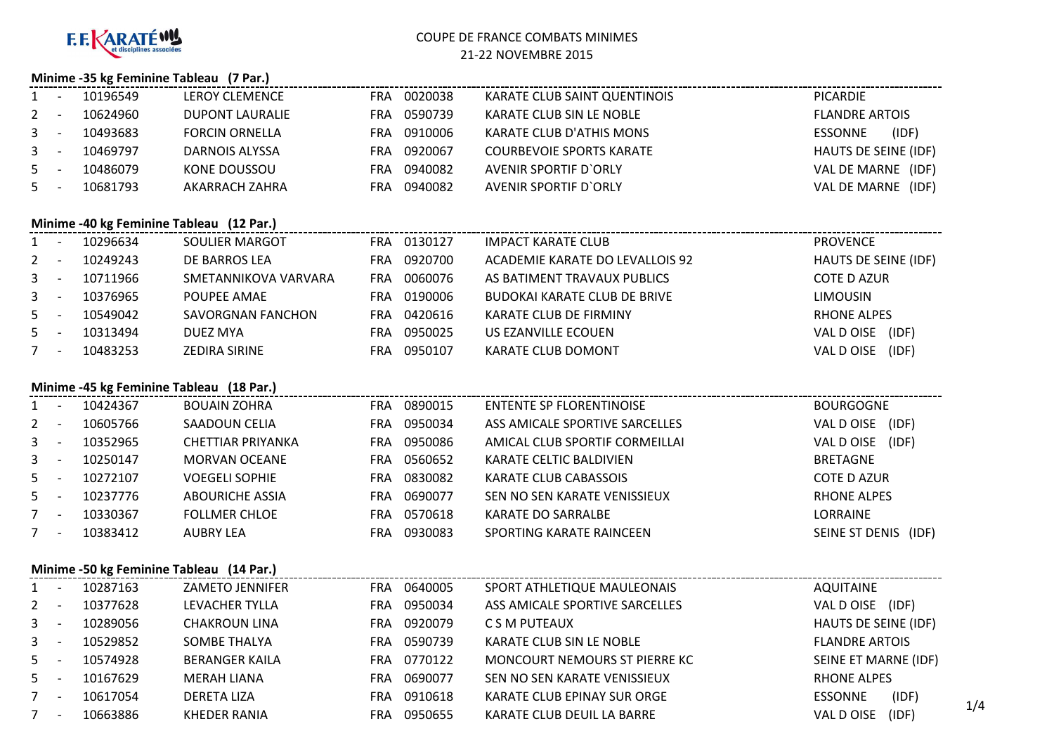

### COUPE DE FRANCE COMBATS MINIMES21-22 NOVEMBRE 2015

#### **Minime -35 kg Feminine Tableau (7 Par.)**

| 1     | 10196549 | <b>LEROY CLEMENCE</b>  | FRA | 0020038 | KARATE CLUB SAINT QUENTINOIS    | <b>PICARDIE</b>         |
|-------|----------|------------------------|-----|---------|---------------------------------|-------------------------|
| $2 -$ | 10624960 | <b>DUPONT LAURALIE</b> | FRA | 0590739 | KARATE CLUB SIN LE NOBLE        | <b>FLANDRE ARTOIS</b>   |
| $3 -$ | 10493683 | <b>FORCIN ORNELLA</b>  | FRA | 0910006 | KARATE CLUB D'ATHIS MONS        | (IDF)<br><b>ESSONNE</b> |
| $3 -$ | 10469797 | DARNOIS ALYSSA         | FRA | 0920067 | <b>COURBEVOIE SPORTS KARATE</b> | HAUTS DE SEINE (IDF)    |
| $5 -$ | 10486079 | KONE DOUSSOU           | FRA | 0940082 | AVENIR SPORTIF D'ORLY           | VAL DE MARNE (IDF)      |
| $5 -$ | 10681793 | AKARRACH ZAHRA         | FRA | 0940082 | AVENIR SPORTIF D'ORLY           | VAL DE MARNE (IDF)      |

### **Minime -40 kg Feminine Tableau (12 Par.)**

|              |                          | <b>Minime -40 kg Feminine Tableau</b> (12 Par.) |                       |     |         |                                     |                      |
|--------------|--------------------------|-------------------------------------------------|-----------------------|-----|---------|-------------------------------------|----------------------|
|              | $\overline{\phantom{a}}$ | 10296634                                        | <b>SOULIER MARGOT</b> | FRA | 0130127 | <b>IMPACT KARATE CLUB</b>           | <b>PROVENCE</b>      |
| 2            |                          | 10249243                                        | DE BARROS LEA         | FRA | 0920700 | ACADEMIE KARATE DO LEVALLOIS 92     | HAUTS DE SEINE (IDF) |
| $3 -$        |                          | 10711966                                        | SMETANNIKOVA VARVARA  | FRA | 0060076 | AS BATIMENT TRAVAUX PUBLICS         | <b>COTE D AZUR</b>   |
| $\mathbf{3}$ | $\overline{\phantom{a}}$ | 10376965                                        | POUPEE AMAE           | FRA | 0190006 | <b>BUDOKAI KARATE CLUB DE BRIVE</b> | <b>LIMOUSIN</b>      |
| $5 -$        |                          | 10549042                                        | SAVORGNAN FANCHON     | FRA | 0420616 | KARATE CLUB DE FIRMINY              | RHONE ALPES          |
| $5 -$        |                          | 10313494                                        | DUEZ MYA              | FRA | 0950025 | US EZANVILLE ECOUEN                 | VAL D OISE<br>(IDF)  |
| 7            | $\overline{\phantom{a}}$ | 10483253                                        | ZEDIRA SIRINE         | FRA | 0950107 | KARATE CLUB DOMONT                  | (IDF)<br>VAL D OISE  |
|              |                          |                                                 |                       |     |         |                                     |                      |

#### **Minime -45 kg Feminine Tableau (18 Par.)**

|                |          | Minime -45 kg Feminine Tableau (18 Par.) |            |         |                                 |                      |
|----------------|----------|------------------------------------------|------------|---------|---------------------------------|----------------------|
| $1 \quad$      | 10424367 | <b>BOUAIN ZOHRA</b>                      | <b>FRA</b> | 0890015 | <b>ENTENTE SP FLORENTINOISE</b> | <b>BOURGOGNE</b>     |
| $\overline{2}$ | 10605766 | SAADOUN CELIA                            | FRA        | 0950034 | ASS AMICALE SPORTIVE SARCELLES  | (IDF)<br>VAL D OISE  |
| 3 <sup>7</sup> | 10352965 | CHETTIAR PRIYANKA                        | FRA        | 0950086 | AMICAL CLUB SPORTIF CORMEILLAI  | (IDF)<br>VAL D OISE  |
| $3^{\circ}$    | 10250147 | <b>MORVAN OCEANE</b>                     | FRA        | 0560652 | KARATE CELTIC BALDIVIEN         | <b>BRETAGNE</b>      |
| $5 -$          | 10272107 | <b>VOEGELI SOPHIE</b>                    | FRA        | 0830082 | KARATE CLUB CABASSOIS           | COTE D AZUR          |
| $5 -$          | 10237776 | <b>ABOURICHE ASSIA</b>                   | FRA        | 0690077 | SEN NO SEN KARATE VENISSIEUX    | RHONE ALPES          |
| $7^{\circ}$    | 10330367 | <b>FOLLMER CHLOE</b>                     | FRA        | 0570618 | <b>KARATE DO SARRALBE</b>       | LORRAINE             |
|                | 10383412 | AUBRY LEA                                | FRA        | 0930083 | SPORTING KARATE RAINCEEN        | SEINE ST DENIS (IDF) |
|                |          |                                          |            |         |                                 |                      |

### **Minime -50 kg Feminine Tableau (14 Par.)**

|             |          | <b>Nunime -50 kg Feminine Tableau</b> (14 Par.) |                       |                                |                            |
|-------------|----------|-------------------------------------------------|-----------------------|--------------------------------|----------------------------|
|             | 10287163 | ZAMETO JENNIFER                                 | 0640005<br><b>FRA</b> | SPORT ATHLETIQUE MAULEONAIS    | <b>AQUITAINE</b>           |
| $2^{\circ}$ | 10377628 | LEVACHER TYLLA                                  | 0950034<br><b>FRA</b> | ASS AMICALE SPORTIVE SARCELLES | VAL D OISE<br>(IDF)        |
| $3^{\circ}$ | 10289056 | CHAKROUN LINA                                   | 0920079<br><b>FRA</b> | C S M PUTEAUX                  | HAUTS DE SEINE (IDF)       |
| $3 -$       | 10529852 | SOMBE THALYA                                    | 0590739<br><b>FRA</b> | KARATE CLUB SIN LE NOBLE       | <b>FLANDRE ARTOIS</b>      |
| $5 -$       | 10574928 | <b>BERANGER KAILA</b>                           | 0770122<br><b>FRA</b> | MONCOURT NEMOURS ST PIERRE KC  | SEINE ET MARNE (IDF)       |
| $5 -$       | 10167629 | MERAH LIANA                                     | 0690077<br><b>FRA</b> | SEN NO SEN KARATE VENISSIEUX   | <b>RHONE ALPES</b>         |
| 7           | 10617054 | <b>DERETA LIZA</b>                              | 0910618<br><b>FRA</b> | KARATE CLUB EPINAY SUR ORGE    | (IDF)<br><b>ESSONNE</b>    |
|             | 10663886 | KHEDER RANIA                                    | 0950655<br><b>FRA</b> | KARATE CLUB DEUIL LA BARRE     | 1/4<br>(IDF)<br>VAL D OISE |
|             |          |                                                 |                       |                                |                            |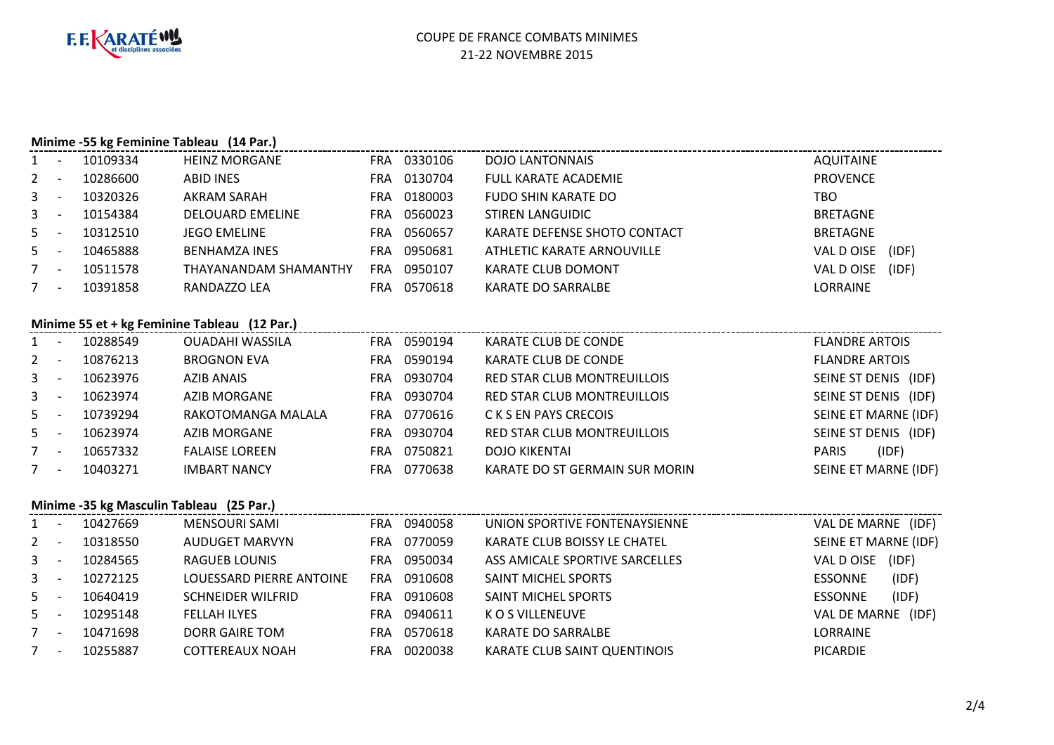

### **Minime -55 kg Feminine Tableau (14 Par.)**

|             |          | <b>IVIIIIIIIIIE -33 Kg Ferniniiie Tableau (14 Par.)</b> |            |         |                              |                  |       |
|-------------|----------|---------------------------------------------------------|------------|---------|------------------------------|------------------|-------|
| $1 \quad$   | 10109334 | <b>HEINZ MORGANE</b>                                    | <b>FRA</b> | 0330106 | <b>DOJO LANTONNAIS</b>       | <b>AQUITAINE</b> |       |
| $2^{\circ}$ | 10286600 | <b>ABID INES</b>                                        | FRA        | 0130704 | <b>FULL KARATE ACADEMIE</b>  | <b>PROVENCE</b>  |       |
| $3 -$       | 10320326 | AKRAM SARAH                                             | <b>FRA</b> | 0180003 | FUDO SHIN KARATE DO          | TBO              |       |
| $3 -$       | 10154384 | <b>DELOUARD EMELINE</b>                                 | FRA        | 0560023 | STIREN LANGUIDIC             | <b>BRETAGNE</b>  |       |
| $5 -$       | 10312510 | <b>JEGO EMELINE</b>                                     | FRA        | 0560657 | KARATE DEFENSE SHOTO CONTACT | <b>BRETAGNE</b>  |       |
| $5 -$       | 10465888 | <b>BENHAMZA INES</b>                                    | <b>FRA</b> | 0950681 | ATHLETIC KARATE ARNOUVILLE   | VAL D OISE       | (IDF) |
|             | 10511578 | THAYANANDAM SHAMANTHY                                   | <b>FRA</b> | 0950107 | KARATE CLUB DOMONT           | VAL D OISE       | (IDF) |
|             | 10391858 | RANDAZZO LEA                                            | FRA        | 0570618 | KARATE DO SARRALBE           | LORRAINE         |       |
|             |          |                                                         |            |         |                              |                  |       |

### **Minime 55 et + kg Feminine Tableau (12 Par.)**

| $1 -$          |                          | 10288549 | <b>OUADAHI WASSILA</b> | <b>FRA</b> | 0590194 | KARATE CLUB DE CONDE           | <b>FLANDRE ARTOIS</b> |
|----------------|--------------------------|----------|------------------------|------------|---------|--------------------------------|-----------------------|
| $2 -$          |                          | 10876213 | <b>BROGNON EVA</b>     | FRA        | 0590194 | KARATE CLUB DE CONDE           | <b>FLANDRE ARTOIS</b> |
| 3 <sup>7</sup> | $\overline{\phantom{a}}$ | 10623976 | <b>AZIB ANAIS</b>      | <b>FRA</b> | 0930704 | RED STAR CLUB MONTREUILLOIS    | SEINE ST DENIS (IDF)  |
| $3 -$          |                          | 10623974 | AZIB MORGANE           | <b>FRA</b> | 0930704 | RED STAR CLUB MONTREUILLOIS    | SEINE ST DENIS (IDF)  |
| $5 -$          |                          | 10739294 | RAKOTOMANGA MALALA     | <b>FRA</b> | 0770616 | C K S EN PAYS CRECOIS          | SEINE ET MARNE (IDF)  |
| $5 -$          |                          | 10623974 | AZIB MORGANE           | <b>FRA</b> | 0930704 | RED STAR CLUB MONTREUILLOIS    | SEINE ST DENIS (IDF)  |
| $7^{\circ}$    | $\overline{\phantom{a}}$ | 10657332 | <b>FALAISE LOREEN</b>  | <b>FRA</b> | 0750821 | DOJO KIKENTAI                  | (IDF)<br><b>PARIS</b> |
| 7              | $\overline{\phantom{a}}$ | 10403271 | <b>IMBART NANCY</b>    | FRA        | 0770638 | KARATE DO ST GERMAIN SUR MORIN | SEINE ET MARNE (IDF)  |
|                |                          |          |                        |            |         |                                |                       |

# **Minime -35 kg Masculin Tableau (25 Par.)**

| $1 \quad$   | 10427669 | MENSOURI SAMI            | <b>FRA</b> | 0940058 | UNION SPORTIVE FONTENAYSIENNE  | VAL DE MARNE (IDF)   |       |
|-------------|----------|--------------------------|------------|---------|--------------------------------|----------------------|-------|
| $2^{\circ}$ | 10318550 | <b>AUDUGET MARVYN</b>    | FRA        | 0770059 | KARATE CLUB BOISSY LE CHATEL   | SEINE ET MARNE (IDF) |       |
| $3 -$       | 10284565 | RAGUEB LOUNIS            | FRA        | 0950034 | ASS AMICALE SPORTIVE SARCELLES | VAL D OISE           | (IDF) |
| $3^{\circ}$ | 10272125 | LOUESSARD PIERRE ANTOINE | FRA        | 0910608 | SAINT MICHEL SPORTS            | <b>ESSONNE</b>       | (IDF) |
| $5 -$       | 10640419 | <b>SCHNEIDER WILFRID</b> | FRA        | 0910608 | SAINT MICHEL SPORTS            | <b>ESSONNE</b>       | (IDF) |
| $5 -$       | 10295148 | <b>FELLAH ILYES</b>      | FRA        | 0940611 | K O S VILLENEUVE               | VAL DE MARNE (IDF)   |       |
| $7^{\circ}$ | 10471698 | DORR GAIRE TOM           | FRA        | 0570618 | <b>KARATE DO SARRALBE</b>      | LORRAINE             |       |
| $7^{\circ}$ | 10255887 | <b>COTTEREAUX NOAH</b>   | FRA        | 0020038 | KARATE CLUB SAINT QUENTINOIS   | <b>PICARDIE</b>      |       |
|             |          |                          |            |         |                                |                      |       |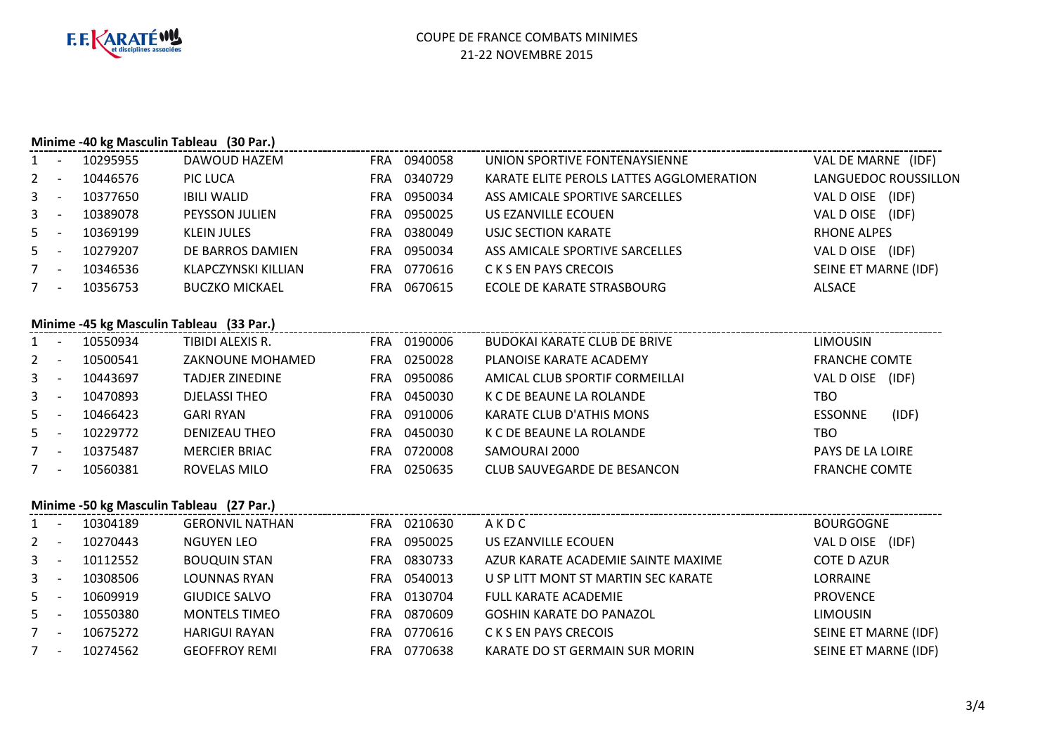

## **Minime -40 kg Masculin Tableau (30 Par.)**

| $1 -$ |                          | 10295955 | DAWOUD HAZEM          | 0940058<br><b>FRA</b> | UNION SPORTIVE FONTENAYSIENNE            | VAL DE MARNE (IDF)   |
|-------|--------------------------|----------|-----------------------|-----------------------|------------------------------------------|----------------------|
| $2 -$ |                          | 10446576 | PIC LUCA              | 0340729<br>FRA        | KARATE ELITE PEROLS LATTES AGGLOMERATION | LANGUEDOC ROUSSILLON |
| $3 -$ |                          | 10377650 | <b>IBILI WALID</b>    | 0950034<br>FRA        | ASS AMICALE SPORTIVE SARCELLES           | VAL D OISE (IDF)     |
| $3 -$ |                          | 10389078 | <b>PEYSSON JULIEN</b> | 0950025<br>FRA.       | US EZANVILLE ECOUEN                      | VAL D OISE (IDF)     |
| $5 -$ |                          | 10369199 | KLEIN JULES           | 0380049<br>FRA        | USJC SECTION KARATE                      | <b>RHONE ALPES</b>   |
| $5 -$ |                          | 10279207 | DE BARROS DAMIEN      | 0950034<br>FRA        | ASS AMICALE SPORTIVE SARCELLES           | VAL D OISE (IDF)     |
| 7     | $\overline{\phantom{a}}$ | 10346536 | KLAPCZYNSKI KILLIAN   | 0770616<br>FRA        | C K S EN PAYS CRECOIS                    | SEINE ET MARNE (IDF) |
| 7     | $\overline{\phantom{a}}$ | 10356753 | <b>BUCZKO MICKAEL</b> | 0670615<br>FRA.       | ECOLE DE KARATE STRASBOURG               | ALSACE               |
|       |                          |          |                       |                       |                                          |                      |
|       |                          |          |                       |                       |                                          |                      |

## **Minime -45 kg Masculin Tableau (33 Par.)**

|             | $\overline{\phantom{a}}$ | 10550934 | TIBIDI ALEXIS R.     | FRA        | 0190006 | BUDOKAI KARATE CLUB DE BRIVE    | <b>LIMOUSIN</b>      |       |
|-------------|--------------------------|----------|----------------------|------------|---------|---------------------------------|----------------------|-------|
| $2 -$       |                          | 10500541 | ZAKNOUNE MOHAMED     | FRA        | 0250028 | PLANOISE KARATE ACADEMY         | <b>FRANCHE COMTE</b> |       |
| $3 -$       |                          | 10443697 | TADJER ZINEDINE      | <b>FRA</b> | 0950086 | AMICAL CLUB SPORTIF CORMEILLAI  | VAL D OISE           | (IDF) |
| $3 -$       |                          | 10470893 | DJELASSI THEO        | FRA        | 0450030 | K C DE BEAUNE LA ROLANDE        | тво                  |       |
| $5 -$       |                          | 10466423 | GARI RYAN            | FRA        | 0910006 | <b>KARATE CLUB D'ATHIS MONS</b> | <b>ESSONNE</b>       | (IDF) |
| $5 -$       |                          | 10229772 | DENIZEAU THEO        | <b>FRA</b> | 0450030 | K C DE BEAUNE LA ROLANDE        | тво                  |       |
| $7^{\circ}$ | $\overline{\phantom{a}}$ | 10375487 | <b>MERCIER BRIAC</b> | FRA        | 0720008 | SAMOURAI 2000                   | PAYS DE LA LOIRE     |       |
|             | $\overline{\phantom{a}}$ | 10560381 | ROVELAS MILO         | FRA        | 0250635 | CLUB SAUVEGARDE DE BESANCON     | <b>FRANCHE COMTE</b> |       |
|             |                          |          |                      |            |         |                                 |                      |       |

### **Minime -50 kg Masculin Tableau (27 Par.)**

| <b>BOURGOGNE</b>     |
|----------------------|
| VAL D OISE<br>(IDF)  |
| <b>COTE D AZUR</b>   |
| LORRAINE             |
| <b>PROVENCE</b>      |
| <b>LIMOUSIN</b>      |
| SEINE ET MARNE (IDF) |
| SEINE ET MARNE (IDF) |
|                      |